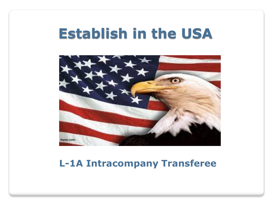## **Establish in the USA**



#### **L-1A Intracompany Transferee**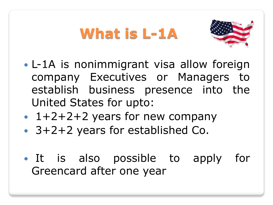# **What is L-1A**



- L-1A is nonimmigrant visa allow foreign company Executives or Managers to establish business presence into the United States for upto:
- $\cdot$  1+2+2+2 years for new company
- 3+2+2 years for established Co.
- It is also possible to apply for Greencard after one year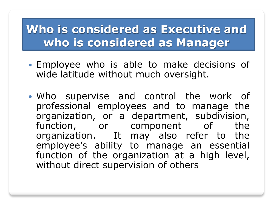#### **Who is considered as Executive and who is considered as Manager**

- Employee who is able to make decisions of wide latitude without much oversight.
- Who supervise and control the work of professional employees and to manage the organization, or a department, subdivision, function, or component of the organization. It may also refer to the employee's ability to manage an essential function of the organization at a high level, without direct supervision of others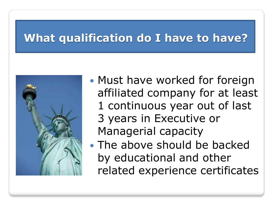#### **What qualification do I have to have?**



- Must have worked for foreign affiliated company for at least 1 continuous year out of last 3 years in Executive or Managerial capacity
- The above should be backed by educational and other related experience certificates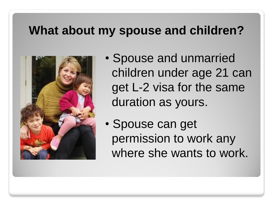#### **What about my spouse and children?**



- Spouse and unmarried children under age 21 can get L-2 visa for the same duration as yours.
- Spouse can get permission to work any where she wants to work.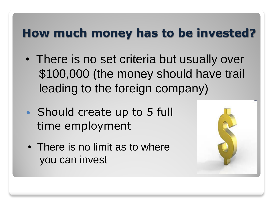### **How much money has to be invested?**

- There is no set criteria but usually over \$100,000 (the money should have trail leading to the foreign company)
- Should create up to 5 full time employment
- There is no limit as to where you can invest